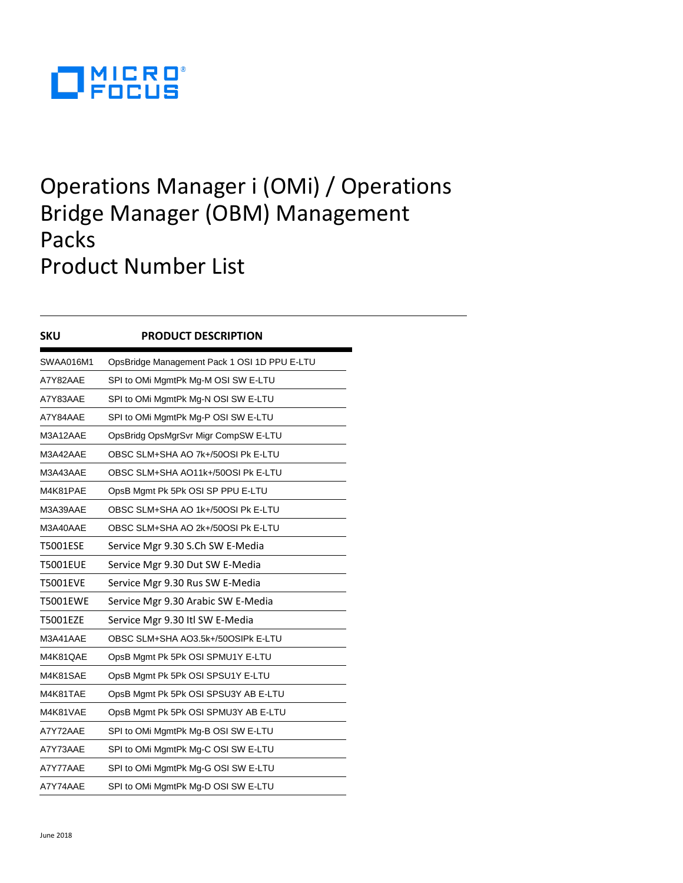

## Operations Manager i (OMi) / Operations Bridge Manager (OBM) Management Packs Product Number List

| <b>SKU</b>      | <b>PRODUCT DESCRIPTION</b>                   |
|-----------------|----------------------------------------------|
| SWAA016M1       | OpsBridge Management Pack 1 OSI 1D PPU E-LTU |
| A7Y82AAE        | SPI to OMi MgmtPk Mg-M OSI SW E-LTU          |
| A7Y83AAE        | SPI to OMi MgmtPk Mg-N OSI SW E-LTU          |
| A7Y84AAE        | SPI to OMi MgmtPk Mg-P OSI SW E-LTU          |
| M3A12AAE        | OpsBridg OpsMgrSvr Migr CompSW E-LTU         |
| M3A42AAE        | OBSC SLM+SHA AO 7k+/50OSI Pk E-LTU           |
| M3A43AAE        | OBSC SLM+SHA AO11k+/50OSI Pk E-LTU           |
| M4K81PAE        | OpsB Mgmt Pk 5Pk OSI SP PPU E-LTU            |
| M3A39AAE        | OBSC SLM+SHA AO 1k+/50OSI Pk E-LTU           |
| M3A40AAE        | OBSC SLM+SHA AO 2k+/50OSI Pk E-LTU           |
| T5001ESE        | Service Mgr 9.30 S.Ch SW E-Media             |
| <b>T5001EUE</b> | Service Mgr 9.30 Dut SW E-Media              |
| <b>T5001EVE</b> | Service Mgr 9.30 Rus SW E-Media              |
| <b>T5001EWE</b> | Service Mgr 9.30 Arabic SW E-Media           |
| <b>T5001EZE</b> | Service Mgr 9.30 Itl SW E-Media              |
| M3A41AAE        | OBSC SLM+SHA AO3.5k+/50OSIPK E-LTU           |
| M4K81QAE        | OpsB Mgmt Pk 5Pk OSI SPMU1Y E-LTU            |
| M4K81SAE        | OpsB Mgmt Pk 5Pk OSI SPSU1Y E-LTU            |
| M4K81TAE        | OpsB Mgmt Pk 5Pk OSI SPSU3Y AB E-LTU         |
| M4K81VAE        | OpsB Mgmt Pk 5Pk OSI SPMU3Y AB E-LTU         |
| A7Y72AAE        | SPI to OMi MgmtPk Mg-B OSI SW E-LTU          |
| A7Y73AAE        | SPI to OMi MgmtPk Mg-C OSI SW E-LTU          |
| A7Y77AAE        | SPI to OMi MgmtPk Mg-G OSI SW E-LTU          |
| A7Y74AAE        | SPI to OMi MgmtPk Mg-D OSI SW E-LTU          |
|                 |                                              |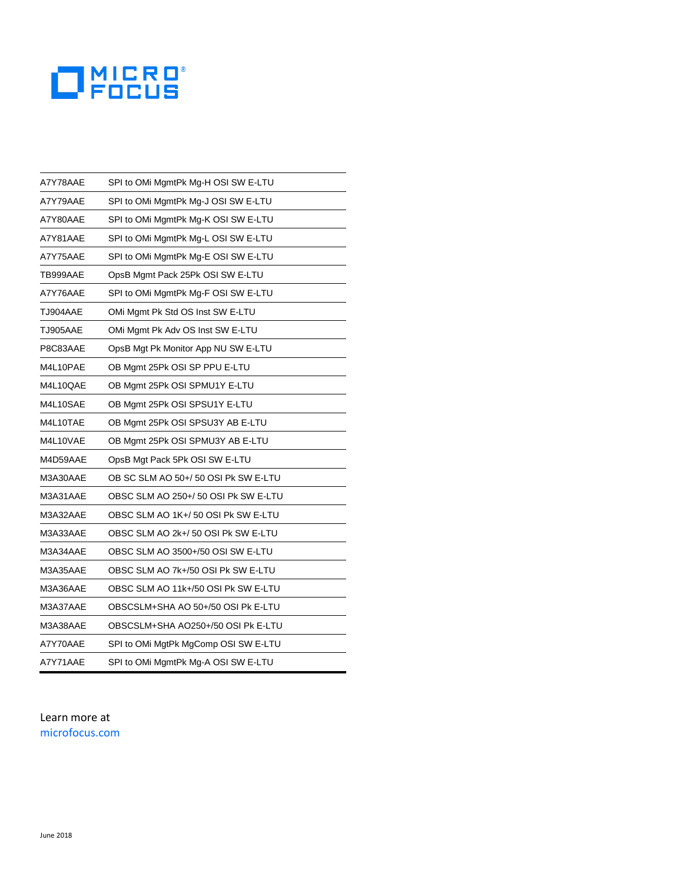

| A7Y78AAE | SPI to OMi MgmtPk Mg-H OSI SW E-LTU  |
|----------|--------------------------------------|
| A7Y79AAE | SPI to OMi MgmtPk Mg-J OSI SW E-LTU  |
| A7Y80AAE | SPI to OMi MgmtPk Mg-K OSI SW E-LTU  |
| A7Y81AAE | SPI to OMi MgmtPk Mg-L OSI SW E-LTU  |
| A7Y75AAE | SPI to OMi MgmtPk Mg-E OSI SW E-LTU  |
| TB999AAE | OpsB Mgmt Pack 25Pk OSI SW E-LTU     |
| A7Y76AAE | SPI to OMi MgmtPk Mg-F OSI SW E-LTU  |
| TJ904AAE | OMi Mgmt Pk Std OS Inst SW E-LTU     |
| TJ905AAE | OMi Mgmt Pk Adv OS Inst SW E-LTU     |
| P8C83AAE | OpsB Mgt Pk Monitor App NU SW E-LTU  |
| M4L10PAE | OB Mgmt 25Pk OSI SP PPU E-LTU        |
| M4L10QAE | OB Mgmt 25Pk OSI SPMU1Y E-LTU        |
| M4L10SAE | OB Mgmt 25Pk OSI SPSU1Y E-LTU        |
| M4L10TAE | OB Mgmt 25Pk OSI SPSU3Y AB E-LTU     |
| M4L10VAE | OB Mgmt 25Pk OSI SPMU3Y AB E-LTU     |
| M4D59AAE | OpsB Mgt Pack 5Pk OSI SW E-LTU       |
| M3A30AAE | OB SC SLM AO 50+/ 50 OSI Pk SW E-LTU |
| M3A31AAE | OBSC SLM AO 250+/ 50 OSI Pk SW E-LTU |
| M3A32AAE | OBSC SLM AO 1K+/ 50 OSI PK SW E-LTU  |
| M3A33AAE | OBSC SLM AO 2k+/ 50 OSI Pk SW E-LTU  |
| M3A34AAE | OBSC SLM AO 3500+/50 OSI SW E-LTU    |
| M3A35AAE | OBSC SLM AO 7k+/50 OSI Pk SW E-LTU   |
| M3A36AAE | OBSC SLM AO 11k+/50 OSI PK SW E-LTU  |
| M3A37AAE | OBSCSLM+SHA AO 50+/50 OSI PK E-LTU   |
| M3A38AAE | OBSCSLM+SHA AO250+/50 OSI Pk E-LTU   |
| A7Y70AAE | SPI to OMi MgtPk MgComp OSI SW E-LTU |
| A7Y71AAE | SPI to OMi MgmtPk Mg-A OSI SW E-LTU  |

## Learn more at [microfocus.com](http://www.microfocus.com/)